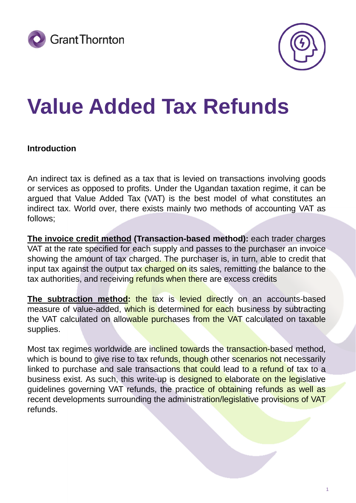



## **Value Added Tax Refunds**

#### **Introduction**

An indirect tax is defined as a tax that is levied on transactions involving goods or services as opposed to profits. Under the Ugandan taxation regime, it can be argued that Value Added Tax (VAT) is the best model of what constitutes an indirect tax. World over, there exists mainly two methods of accounting VAT as follows;

**The invoice credit method (Transaction-based method):** each trader charges VAT at the rate specified for each supply and passes to the purchaser an invoice showing the amount of tax charged. The purchaser is, in turn, able to credit that input tax against the output tax charged on its sales, remitting the balance to the tax authorities, and receiving refunds when there are excess credits

**The subtraction method:** the tax is levied directly on an accounts-based measure of value-added, which is determined for each business by subtracting the VAT calculated on allowable purchases from the VAT calculated on taxable supplies.

Most tax regimes worldwide are inclined towards the transaction-based method, which is bound to give rise to tax refunds, though other scenarios not necessarily linked to purchase and sale transactions that could lead to a refund of tax to a business exist. As such, this write-up is designed to elaborate on the legislative guidelines governing VAT refunds, the practice of obtaining refunds as well as recent developments surrounding the administration/legislative provisions of VAT refunds.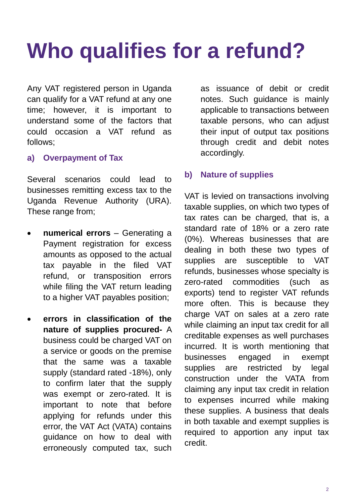## **Who qualifies for a refund?**

Any VAT registered person in Uganda can qualify for a VAT refund at any one time; however, it is important to understand some of the factors that could occasion a VAT refund as follows;

### **a) Overpayment of Tax**

Several scenarios could lead to businesses remitting excess tax to the Uganda Revenue Authority (URA). These range from;

- **numerical errors** Generating a Payment registration for excess amounts as opposed to the actual tax payable in the filed VAT refund, or transposition errors while filing the VAT return leading to a higher VAT payables position;
- **errors in classification of the nature of supplies procured-** A business could be charged VAT on a service or goods on the premise that the same was a taxable supply (standard rated -18%), only to confirm later that the supply was exempt or zero-rated. It is important to note that before applying for refunds under this error, the VAT Act (VATA) contains guidance on how to deal with erroneously computed tax, such

as issuance of debit or credit notes. Such guidance is mainly applicable to transactions between taxable persons, who can adjust their input of output tax positions through credit and debit notes accordingly.

### **b) Nature of supplies**

VAT is levied on transactions involving taxable supplies, on which two types of tax rates can be charged, that is, a standard rate of 18% or a zero rate (0%). Whereas businesses that are dealing in both these two types of supplies are susceptible to VAT refunds, businesses whose specialty is zero-rated commodities (such as exports) tend to register VAT refunds more often. This is because they charge VAT on sales at a zero rate while claiming an input tax credit for all creditable expenses as well purchases incurred. It is worth mentioning that businesses engaged in exempt supplies are restricted by legal construction under the VATA from claiming any input tax credit in relation to expenses incurred while making these supplies. A business that deals in both taxable and exempt supplies is required to apportion any input tax credit.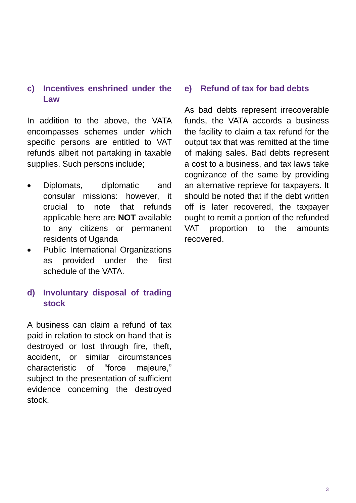## **c) Incentives enshrined under the Law**

In addition to the above, the VATA encompasses schemes under which specific persons are entitled to VAT refunds albeit not partaking in taxable supplies. Such persons include;

- Diplomats, diplomatic and consular missions: however, it crucial to note that refunds applicable here are **NOT** available to any citizens or permanent residents of Uganda
- Public International Organizations as provided under the first schedule of the VATA.

## **d) Involuntary disposal of trading stock**

A business can claim a refund of tax paid in relation to stock on hand that is destroyed or lost through fire, theft, accident, or similar circumstances characteristic of "force majeure," subject to the presentation of sufficient evidence concerning the destroyed stock.

#### **e) Refund of tax for bad debts**

As bad debts represent irrecoverable funds, the VATA accords a business the facility to claim a tax refund for the output tax that was remitted at the time of making sales. Bad debts represent a cost to a business, and tax laws take cognizance of the same by providing an alternative reprieve for taxpayers. It should be noted that if the debt written off is later recovered, the taxpayer ought to remit a portion of the refunded VAT proportion to the amounts recovered.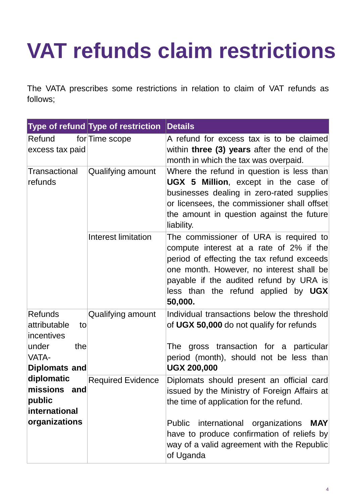# **VAT refunds claim restrictions**

The VATA prescribes some restrictions in relation to claim of VAT refunds as follows;

|                                                                                                                                                                                   | Type of refund Type of restriction | <b>Details</b>                                                                                                                                                                                                                                                                                              |
|-----------------------------------------------------------------------------------------------------------------------------------------------------------------------------------|------------------------------------|-------------------------------------------------------------------------------------------------------------------------------------------------------------------------------------------------------------------------------------------------------------------------------------------------------------|
| Refund<br>excess tax paid                                                                                                                                                         | for Time scope                     | A refund for excess tax is to be claimed<br>within three (3) years after the end of the<br>month in which the tax was overpaid.                                                                                                                                                                             |
| Transactional<br>refunds                                                                                                                                                          | Qualifying amount                  | Where the refund in question is less than<br><b>UGX 5 Million, except in the case of</b><br>businesses dealing in zero-rated supplies<br>or licensees, the commissioner shall offset<br>the amount in question against the future<br>liability.                                                             |
|                                                                                                                                                                                   | Interest limitation                | The commissioner of URA is required to<br>compute interest at a rate of 2% if the<br>period of effecting the tax refund exceeds<br>one month. However, no interest shall be<br>payable if the audited refund by URA is<br>less than the refund applied by UGX<br>50,000.                                    |
| <b>Refunds</b><br>attributable<br>to<br>incentives<br>lunder<br>the<br>VATA-<br><b>Diplomats and</b><br>diplomatic<br>missions<br>and<br>public<br>international<br>organizations | Qualifying amount                  | Individual transactions below the threshold<br>of UGX 50,000 do not qualify for refunds<br>The gross transaction for a particular<br>period (month), should not be less than<br><b>UGX 200,000</b>                                                                                                          |
|                                                                                                                                                                                   | <b>Required Evidence</b>           | Diplomats should present an official card<br>issued by the Ministry of Foreign Affairs at<br>the time of application for the refund.<br>international organizations<br><b>MAY</b><br><b>Public</b><br>have to produce confirmation of reliefs by<br>way of a valid agreement with the Republic<br>of Uganda |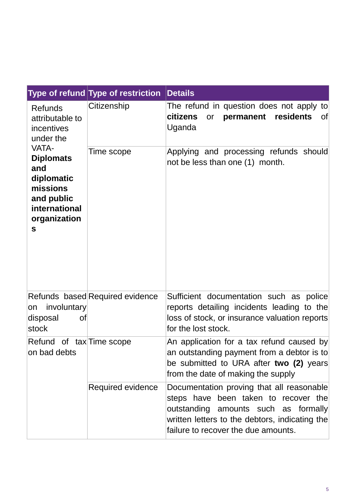|                                                                                                                                                                                | Type of refund Type of restriction | <b>Details</b>                                                                                                                                                                                                     |
|--------------------------------------------------------------------------------------------------------------------------------------------------------------------------------|------------------------------------|--------------------------------------------------------------------------------------------------------------------------------------------------------------------------------------------------------------------|
| <b>Refunds</b><br>attributable to<br>incentives<br>under the<br>VATA-<br><b>Diplomats</b><br>and<br>diplomatic<br>missions<br>and public<br>international<br>organization<br>S | Citizenship                        | The refund in question does not apply to<br><b>citizens</b><br>permanent<br>residents<br>or<br>Of<br>Uganda                                                                                                        |
|                                                                                                                                                                                | Time scope                         | Applying and processing refunds should<br>not be less than one (1) month.                                                                                                                                          |
| involuntary<br>lon<br>disposal<br>0f<br>stock                                                                                                                                  | Refunds based Required evidence    | Sufficient documentation such as police<br>reports detailing incidents leading to the<br>loss of stock, or insurance valuation reports<br>for the lost stock.                                                      |
| Refund of tax Time scope<br>on bad debts                                                                                                                                       |                                    | An application for a tax refund caused by<br>an outstanding payment from a debtor is to<br>be submitted to URA after two (2) years<br>from the date of making the supply                                           |
|                                                                                                                                                                                | Required evidence                  | Documentation proving that all reasonable<br>steps have been taken to recover the<br>outstanding amounts such as formally<br>written letters to the debtors, indicating the<br>failure to recover the due amounts. |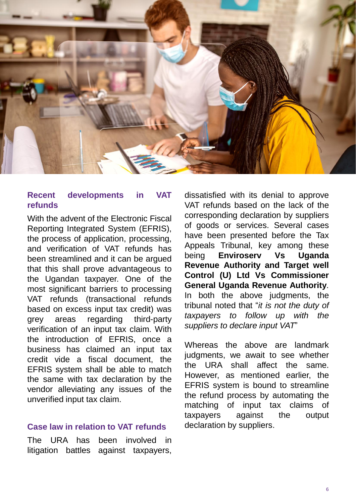

### **Recent developments in VAT refunds**

With the advent of the Electronic Fiscal Reporting Integrated System (EFRIS), the process of application, processing, and verification of VAT refunds has been streamlined and it can be argued that this shall prove advantageous to the Ugandan taxpayer. One of the most significant barriers to processing VAT refunds (transactional refunds based on excess input tax credit) was grey areas regarding third-party verification of an input tax claim. With the introduction of EFRIS, once a business has claimed an input tax credit vide a fiscal document, the EFRIS system shall be able to match the same with tax declaration by the vendor alleviating any issues of the unverified input tax claim.

#### **Case law in relation to VAT refunds**

The URA has been involved in litigation battles against taxpayers,

dissatisfied with its denial to approve VAT refunds based on the lack of the corresponding declaration by suppliers of goods or services. Several cases have been presented before the Tax Appeals Tribunal, key among these being **Enviroserv Vs Uganda Revenue Authority and Target well Control (U) Ltd Vs Commissioner General Uganda Revenue Authority**. In both the above judgments, the tribunal noted that "*it is not the duty of taxpayers to follow up with the suppliers to declare input VAT*"

Whereas the above are landmark judgments, we await to see whether the URA shall affect the same. However, as mentioned earlier, the EFRIS system is bound to streamline the refund process by automating the matching of input tax claims of taxpayers against the output declaration by suppliers.